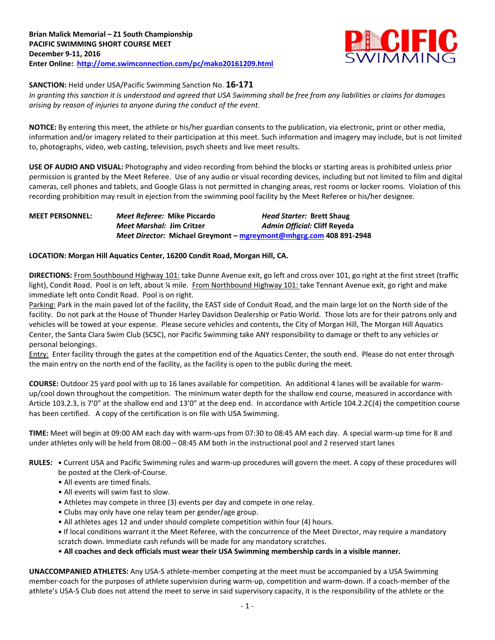

### **SANCTION:** Held under USA/Pacific Swimming Sanction No. **16-171**

*In granting this sanction it is understood and agreed that USA Swimming shall be free from any liabilities or claims for damages arising by reason of injuries to anyone during the conduct of the event.*

**NOTICE:** By entering this meet, the athlete or his/her guardian consents to the publication, via electronic, print or other media, information and/or imagery related to their participation at this meet. Such information and imagery may include, but is not limited to, photographs, video, web casting, television, psych sheets and live meet results.

**USE OF AUDIO AND VISUAL:** Photography and video recording from behind the blocks or starting areas is prohibited unless prior permission is granted by the Meet Referee. Use of any audio or visual recording devices, including but not limited to film and digital cameras, cell phones and tablets, and Google Glass is not permitted in changing areas, rest rooms or locker rooms. Violation of this recording prohibition may result in ejection from the swimming pool facility by the Meet Referee or his/her designee.

# **MEET PERSONNEL:** *Meet Referee:* **Mike Piccardo** *Head Starter:* **Brett Shaug** *Meet Marshal:* **Jim Critzer** *Admin Official:* **Cliff Reyeda** *Meet Director:* **Michael Greymont – [mgreymont@mhgcg.com](mailto:mgreymont@mhgcg.com) 408 891-2948**

# **LOCATION: Morgan Hill Aquatics Center, 16200 Condit Road, Morgan Hill, CA.**

**DIRECTIONS:** From Southbound Highway 101: take Dunne Avenue exit, go left and cross over 101, go right at the first street (traffic light), Condit Road. Pool is on left, about ¼ mile. From Northbound Highway 101: take Tennant Avenue exit, go right and make immediate left onto Condit Road. Pool is on right.

Parking: Park in the main paved lot of the facility, the EAST side of Conduit Road, and the main large lot on the North side of the facility. Do not park at the House of Thunder Harley Davidson Dealership or Patio World. Those lots are for their patrons only and vehicles will be towed at your expense. Please secure vehicles and contents, the City of Morgan Hill, The Morgan Hill Aquatics Center, the Santa Clara Swim Club (SCSC), nor Pacific Swimming take ANY responsibility to damage or theft to any vehicles or personal belongings.

Entry: Enter facility through the gates at the competition end of the Aquatics Center, the south end. Please do not enter through the main entry on the north end of the facility, as the facility is open to the public during the meet.

**COURSE:** Outdoor 25 yard pool with up to 16 lanes available for competition. An additional 4 lanes will be available for warmup/cool down throughout the competition. The minimum water depth for the shallow end course, measured in accordance with Article 103.2.3, is 7'0" at the shallow end and 13'0" at the deep end. In accordance with Article 104.2.2C(4) the competition course has been certified. A copy of the certification is on file with USA Swimming.

**TIME:** Meet will begin at 09:00 AM each day with warm-ups from 07:30 to 08:45 AM each day. A special warm-up time for 8 and under athletes only will be held from 08:00 – 08:45 AM both in the instructional pool and 2 reserved start lanes

- **RULES: •** Current USA and Pacific Swimming rules and warm-up procedures will govern the meet. A copy of these procedures will be posted at the Clerk-of-Course.
	- All events are timed finals.
	- All events will swim fast to slow.
	- Athletes may compete in three (3) events per day and compete in one relay.
	- Clubs may only have one relay team per gender/age group.
	- All athletes ages 12 and under should complete competition within four (4) hours.
	- **•** If local conditions warrant it the Meet Referee, with the concurrence of the Meet Director, may require a mandatory scratch down. Immediate cash refunds will be made for any mandatory scratches.
	- **All coaches and deck officials must wear their USA Swimming membership cards in a visible manner.**

**UNACCOMPANIED ATHLETES:** Any USA-S athlete-member competing at the meet must be accompanied by a USA Swimming member-coach for the purposes of athlete supervision during warm-up, competition and warm-down. If a coach-member of the athlete's USA-S Club does not attend the meet to serve in said supervisory capacity, it is the responsibility of the athlete or the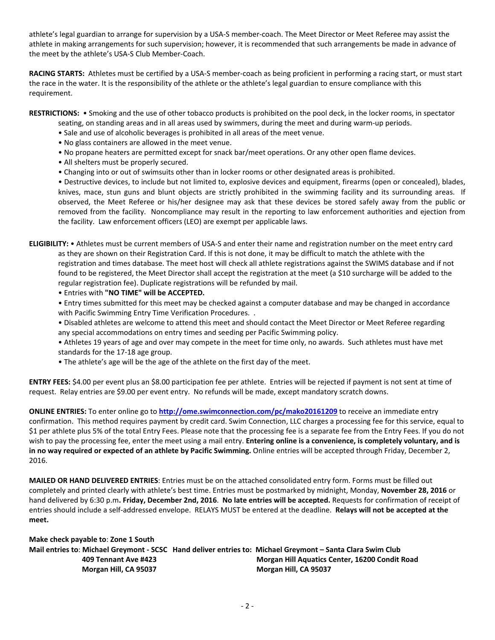athlete's legal guardian to arrange for supervision by a USA-S member-coach. The Meet Director or Meet Referee may assist the athlete in making arrangements for such supervision; however, it is recommended that such arrangements be made in advance of the meet by the athlete's USA-S Club Member-Coach.

**RACING STARTS:** Athletes must be certified by a USA-S member-coach as being proficient in performing a racing start, or must start the race in the water. It is the responsibility of the athlete or the athlete's legal guardian to ensure compliance with this requirement.

**RESTRICTIONS:** • Smoking and the use of other tobacco products is prohibited on the pool deck, in the locker rooms, in spectator

- seating, on standing areas and in all areas used by swimmers, during the meet and during warm-up periods.
- Sale and use of alcoholic beverages is prohibited in all areas of the meet venue.
- No glass containers are allowed in the meet venue.
- No propane heaters are permitted except for snack bar/meet operations. Or any other open flame devices.
- All shelters must be properly secured.
- Changing into or out of swimsuits other than in locker rooms or other designated areas is prohibited.

• Destructive devices, to include but not limited to, explosive devices and equipment, firearms (open or concealed), blades, knives, mace, stun guns and blunt objects are strictly prohibited in the swimming facility and its surrounding areas. If observed, the Meet Referee or his/her designee may ask that these devices be stored safely away from the public or removed from the facility. Noncompliance may result in the reporting to law enforcement authorities and ejection from the facility. Law enforcement officers (LEO) are exempt per applicable laws.

**ELIGIBILITY:** • Athletes must be current members of USA-S and enter their name and registration number on the meet entry card as they are shown on their Registration Card. If this is not done, it may be difficult to match the athlete with the registration and times database. The meet host will check all athlete registrations against the SWIMS database and if not found to be registered, the Meet Director shall accept the registration at the meet (a \$10 surcharge will be added to the regular registration fee). Duplicate registrations will be refunded by mail.

- Entries with **"NO TIME" will be ACCEPTED.**
- Entry times submitted for this meet may be checked against a computer database and may be changed in accordance with Pacific Swimming Entry Time Verification Procedures. .
- Disabled athletes are welcome to attend this meet and should contact the Meet Director or Meet Referee regarding any special accommodations on entry times and seeding per Pacific Swimming policy.
- Athletes 19 years of age and over may compete in the meet for time only, no awards. Such athletes must have met standards for the 17-18 age group.
- The athlete's age will be the age of the athlete on the first day of the meet.

**ENTRY FEES:** \$4.00 per event plus an \$8.00 participation fee per athlete. Entries will be rejected if payment is not sent at time of request. Relay entries are \$9.00 per event entry. No refunds will be made, except mandatory scratch downs.

**ONLINE ENTRIES:** To enter online go to **<http://ome.swimconnection.com/pc/mako20161209>** to receive an immediate entry confirmation. This method requires payment by credit card. Swim Connection, LLC charges a processing fee for this service, equal to \$1 per athlete plus 5% of the total Entry Fees. Please note that the processing fee is a separate fee from the Entry Fees. If you do not wish to pay the processing fee, enter the meet using a mail entry. **Entering online is a convenience, is completely voluntary, and is in no way required or expected of an athlete by Pacific Swimming.** Online entries will be accepted through Friday, December 2, 2016.

**MAILED OR HAND DELIVERED ENTRIES**: Entries must be on the attached consolidated entry form. Forms must be filled out completely and printed clearly with athlete's best time. Entries must be postmarked by midnight, Monday, **November 28, 2016** or hand delivered by 6:30 p.m**. Friday, December 2nd, 2016**. **No late entries will be accepted.** Requests for confirmation of receipt of entries should include a self-addressed envelope. RELAYS MUST be entered at the deadline. **Relays will not be accepted at the meet.**

| Make check payable to: Zone 1 South |                                                                                                            |
|-------------------------------------|------------------------------------------------------------------------------------------------------------|
|                                     | Mail entries to: Michael Greymont - SCSC Hand deliver entries to: Michael Greymont – Santa Clara Swim Club |
| 409 Tennant Ave #423                | Morgan Hill Aquatics Center, 16200 Condit Road                                                             |
| Morgan Hill, CA 95037               | Morgan Hill, CA 95037                                                                                      |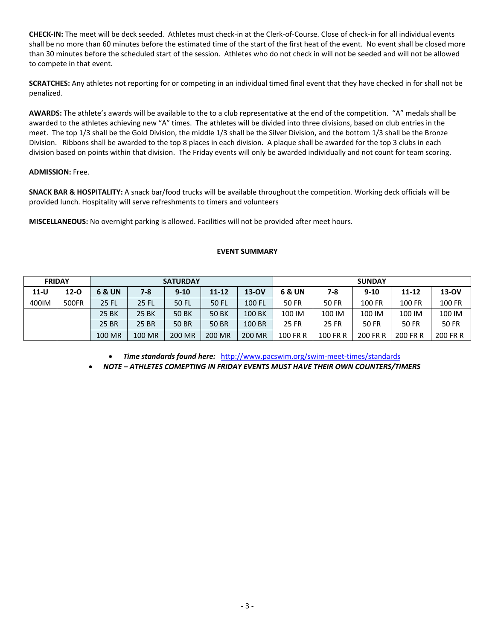**CHECK-IN:** The meet will be deck seeded. Athletes must check-in at the Clerk-of-Course. Close of check-in for all individual events shall be no more than 60 minutes before the estimated time of the start of the first heat of the event. No event shall be closed more than 30 minutes before the scheduled start of the session. Athletes who do not check in will not be seeded and will not be allowed to compete in that event.

**SCRATCHES:** Any athletes not reporting for or competing in an individual timed final event that they have checked in for shall not be penalized.

**AWARDS:** The athlete's awards will be available to the to a club representative at the end of the competition. "A" medals shall be awarded to the athletes achieving new "A" times. The athletes will be divided into three divisions, based on club entries in the meet. The top 1/3 shall be the Gold Division, the middle 1/3 shall be the Silver Division, and the bottom 1/3 shall be the Bronze Division. Ribbons shall be awarded to the top 8 places in each division. A plaque shall be awarded for the top 3 clubs in each division based on points within that division. The Friday events will only be awarded individually and not count for team scoring.

#### **ADMISSION:** Free.

**SNACK BAR & HOSPITALITY:** A snack bar/food trucks will be available throughout the competition. Working deck officials will be provided lunch. Hospitality will serve refreshments to timers and volunteers

**MISCELLANEOUS:** No overnight parking is allowed. Facilities will not be provided after meet hours.

#### **EVENT SUMMARY**

|        | <b>FRIDAY</b> |        |        | <b>SATURDAY</b> |              |         | <b>SUNDAY</b>   |          |          |              |              |
|--------|---------------|--------|--------|-----------------|--------------|---------|-----------------|----------|----------|--------------|--------------|
| $11-U$ | $12 - 0$      | 6 & UN | 7-8    | $9 - 10$        | 11-12        | $13-OV$ | 6 & UN          | 7-8      | $9 - 10$ | 11-12        | 13-OV        |
| 400IM  | 500FR         | 25 FL  | 25 FL  | 50 FL           | 50 FL        | 100 FL  | 50 FR           | 50 FR    | 100 FR   | 100 FR       | 100 FR       |
|        |               | 25 BK  | 25 BK  | 50 BK           | <b>50 BK</b> | 100 BK  | 100 IM          | 100 IM   | 100 IM   | 100 IM       | 100 IM       |
|        |               | 25 BR  | 25 BR  | <b>50 BR</b>    | <b>50 BR</b> | 100 BR  | 25 FR           | 25 FR    | 50 FR    | <b>50 FR</b> | <b>50 FR</b> |
|        |               | 100 MR | 100 MR | 200 MR          | 200 MR       | 200 MR  | <b>100 FR R</b> | 100 FR R | 200 FR R | 200 FR R     | 200 FR R     |

*Time standards found here:* <http://www.pacswim.org/swim-meet-times/standards>

*NOTE – ATHLETES COMEPTING IN FRIDAY EVENTS MUST HAVE THEIR OWN COUNTERS/TIMERS*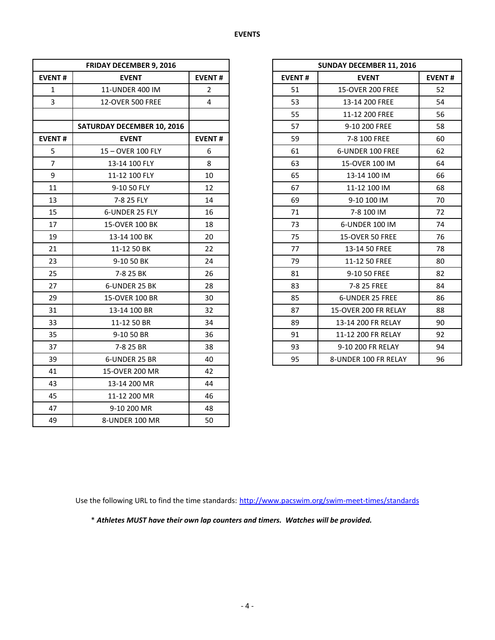|                | <b>FRIDAY DECEMBER 9, 2016</b>    |               |               | <b>SUNDAY DECEMBER 11, 2016</b> |               |  |  |  |
|----------------|-----------------------------------|---------------|---------------|---------------------------------|---------------|--|--|--|
| <b>EVENT#</b>  | <b>EVENT</b>                      | <b>EVENT#</b> | <b>EVENT#</b> | <b>EVENT</b>                    | <b>EVENT#</b> |  |  |  |
| $\mathbf{1}$   | 11-UNDER 400 IM                   | 2             | 51            | <b>15-OVER 200 FREE</b>         | 52            |  |  |  |
| $\overline{3}$ | <b>12-OVER 500 FREE</b>           | 4             | 53            | 13-14 200 FREE                  | 54            |  |  |  |
|                |                                   |               | 55            | 11-12 200 FREE                  | 56            |  |  |  |
|                | <b>SATURDAY DECEMBER 10, 2016</b> |               | 57            | 9-10 200 FREE                   | 58            |  |  |  |
| <b>EVENT#</b>  | <b>EVENT</b>                      | <b>EVENT#</b> | 59            | 7-8 100 FREE                    | 60            |  |  |  |
| 5              | 15-OVER 100 FLY                   | 6             | 61            | 6-UNDER 100 FREE                | 62            |  |  |  |
| $\overline{7}$ | 13-14 100 FLY                     | 8             | 63            | 15-OVER 100 IM                  | 64            |  |  |  |
| 9              | 11-12 100 FLY                     | 10            | 65            | 13-14 100 IM                    | 66            |  |  |  |
| 11             | 9-10 50 FLY                       | 12            | 67            | 11-12 100 IM                    | 68            |  |  |  |
| 13             | 7-8 25 FLY                        | 14            | 69            | 9-10 100 IM                     | 70            |  |  |  |
| 15             | 6-UNDER 25 FLY                    | 16            | 71            | 7-8 100 IM                      | 72            |  |  |  |
| 17             | 15-OVER 100 BK                    | 18            | 73            | 6-UNDER 100 IM                  | 74            |  |  |  |
| 19             | 13-14 100 BK                      | 20            | 75            | 15-OVER 50 FREE                 | 76            |  |  |  |
| 21             | 11-12 50 BK                       | 22            | 77            | 13-14 50 FREE                   | 78            |  |  |  |
| 23             | 9-10 50 BK                        | 24            | 79            | 11-12 50 FREE                   | 80            |  |  |  |
| 25             | 7-8 25 BK                         | 26            | 81            | 9-10 50 FREE                    | 82            |  |  |  |
| 27             | 6-UNDER 25 BK                     | 28            | 83            | 7-8 25 FREE                     | 84            |  |  |  |
| 29             | 15-OVER 100 BR                    | 30            | 85            | 6-UNDER 25 FREE                 | 86            |  |  |  |
| 31             | 13-14 100 BR                      | 32            | 87            | 15-OVER 200 FR RELAY            | 88            |  |  |  |
| 33             | 11-12 50 BR                       | 34            | 89            | 13-14 200 FR RELAY              | 90            |  |  |  |
| 35             | 9-10 50 BR                        | 36            | 91            | 11-12 200 FR RELAY              | 92            |  |  |  |
| 37             | 7-8 25 BR                         | 38            | 93            | 9-10 200 FR RELAY               | 94            |  |  |  |
| 39             | 6-UNDER 25 BR                     | 40            | 95            | 8-UNDER 100 FR RELAY            | 96            |  |  |  |
| 41             | 15-OVER 200 MR                    | 42            |               |                                 |               |  |  |  |
| 43             | 13-14 200 MR                      | 44            |               |                                 |               |  |  |  |
| 45             | 11-12 200 MR                      | 46            |               |                                 |               |  |  |  |
| 47             | 9-10 200 MR                       | 48            |               |                                 |               |  |  |  |
| 49             | 8-UNDER 100 MR                    | 50            |               |                                 |               |  |  |  |

| <b>FRIDAY DECEMBER 9, 2016</b>    |                |  |
|-----------------------------------|----------------|--|
| <b>EVENT</b>                      | <b>EVENT#</b>  |  |
| 11-UNDER 400 IM                   | $\overline{2}$ |  |
| <b>12-OVER 500 FREE</b>           | 4              |  |
|                                   |                |  |
| <b>SATURDAY DECEMBER 10, 2016</b> |                |  |
| <b>EVENT</b>                      | <b>EVENT#</b>  |  |
| 15-OVER 100 FLY                   | 6              |  |
| 13-14 100 FLY                     | 8              |  |
| 11-12 100 FLY                     | 10             |  |
| 9-10 50 FLY                       | 12             |  |
| 7-8 25 FLY                        | 14             |  |
| 6-UNDER 25 FLY                    | 16             |  |
| 15-OVER 100 BK                    | 18             |  |
| 13-14 100 BK                      | 20             |  |
| 11-12 50 BK                       | 22             |  |
| 9-10 50 BK                        | 24             |  |
| 7-8 25 BK                         | 26             |  |
| 6-UNDER 25 BK                     | 28             |  |
| 15-OVER 100 BR                    | 30             |  |
| 13-14 100 BR                      | 32             |  |
| 11-12 50 BR                       | 34             |  |
| 9-10 50 BR                        | 36             |  |
| 7-8 25 BR                         | 38             |  |
| 6-UNDER 25 BR                     | 40             |  |

Use the following URL to find the time standards: <http://www.pacswim.org/swim-meet-times/standards>

\* *Athletes MUST have their own lap counters and timers. Watches will be provided.*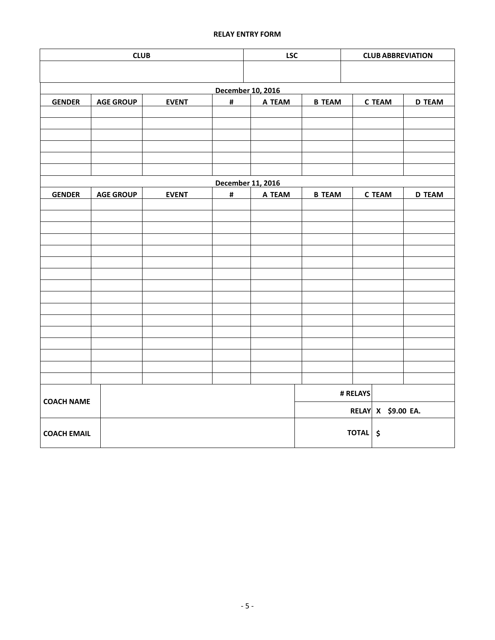# **RELAY ENTRY FORM**

|                    | <b>LSC</b>       | <b>CLUB ABBREVIATION</b> |                |                   |                    |               |               |               |  |
|--------------------|------------------|--------------------------|----------------|-------------------|--------------------|---------------|---------------|---------------|--|
|                    |                  |                          |                |                   |                    |               |               |               |  |
|                    |                  |                          |                |                   |                    |               |               |               |  |
| <b>GENDER</b>      | <b>AGE GROUP</b> | <b>EVENT</b>             | <b>B TEAM</b>  |                   | <b>C TEAM</b>      | <b>D TEAM</b> |               |               |  |
|                    |                  |                          | #              | A TEAM            |                    |               |               |               |  |
|                    |                  |                          |                |                   |                    |               |               |               |  |
|                    |                  |                          |                |                   |                    |               |               |               |  |
|                    |                  |                          |                |                   |                    |               |               |               |  |
|                    |                  |                          |                |                   |                    |               |               |               |  |
|                    |                  |                          |                |                   |                    |               |               |               |  |
|                    |                  |                          |                | December 11, 2016 |                    |               |               |               |  |
| <b>GENDER</b>      | <b>AGE GROUP</b> | <b>EVENT</b>             | $\pmb{\sharp}$ | A TEAM            | <b>B TEAM</b>      |               | <b>C TEAM</b> | <b>D TEAM</b> |  |
|                    |                  |                          |                |                   |                    |               |               |               |  |
|                    |                  |                          |                |                   |                    |               |               |               |  |
|                    |                  |                          |                |                   |                    |               |               |               |  |
|                    |                  |                          |                |                   |                    |               |               |               |  |
|                    |                  |                          |                |                   |                    |               |               |               |  |
|                    |                  |                          |                |                   |                    |               |               |               |  |
|                    |                  |                          |                |                   |                    |               |               |               |  |
|                    |                  |                          |                |                   |                    |               |               |               |  |
|                    |                  |                          |                |                   |                    |               |               |               |  |
|                    |                  |                          |                |                   |                    |               |               |               |  |
|                    |                  |                          |                |                   |                    |               |               |               |  |
|                    |                  |                          |                |                   |                    |               |               |               |  |
|                    |                  |                          |                |                   |                    |               |               |               |  |
|                    |                  |                          |                |                   |                    |               |               |               |  |
|                    |                  |                          |                |                   | # RELAYS           |               |               |               |  |
| <b>COACH NAME</b>  |                  |                          |                |                   | RELAY X \$9.00 EA. |               |               |               |  |
| <b>COACH EMAIL</b> |                  |                          |                |                   |                    | TOTAL \$      |               |               |  |